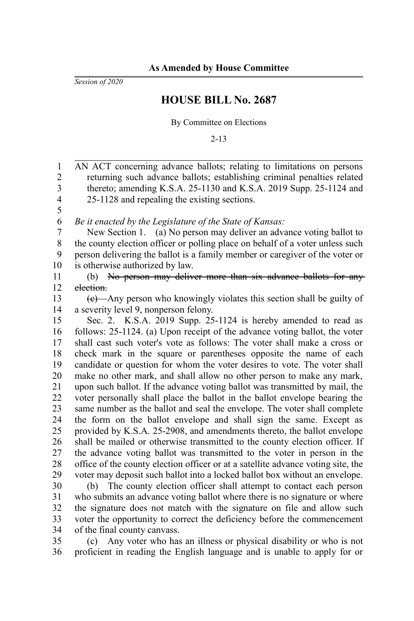*Session of 2020*

## **HOUSE BILL No. 2687**

By Committee on Elections

2-13

AN ACT concerning advance ballots; relating to limitations on persons returning such advance ballots; establishing criminal penalties related thereto; amending K.S.A. 25-1130 and K.S.A. 2019 Supp. 25-1124 and 25-1128 and repealing the existing sections. *Be it enacted by the Legislature of the State of Kansas:* New Section 1. (a) No person may deliver an advance voting ballot to the county election officer or polling place on behalf of a voter unless such person delivering the ballot is a family member or caregiver of the voter or is otherwise authorized by law. (b) No person may deliver more than six advance ballots for anyelection. (c) Any person who knowingly violates this section shall be guilty of a severity level 9, nonperson felony. Sec. 2. K.S.A. 2019 Supp. 25-1124 is hereby amended to read as follows: 25-1124. (a) Upon receipt of the advance voting ballot, the voter shall cast such voter's vote as follows: The voter shall make a cross or check mark in the square or parentheses opposite the name of each candidate or question for whom the voter desires to vote. The voter shall make no other mark, and shall allow no other person to make any mark, upon such ballot. If the advance voting ballot was transmitted by mail, the voter personally shall place the ballot in the ballot envelope bearing the same number as the ballot and seal the envelope. The voter shall complete the form on the ballot envelope and shall sign the same. Except as provided by K.S.A. 25-2908, and amendments thereto, the ballot envelope shall be mailed or otherwise transmitted to the county election officer. If the advance voting ballot was transmitted to the voter in person in the office of the county election officer or at a satellite advance voting site, the voter may deposit such ballot into a locked ballot box without an envelope. (b) The county election officer shall attempt to contact each person who submits an advance voting ballot where there is no signature or where the signature does not match with the signature on file and allow such voter the opportunity to correct the deficiency before the commencement of the final county canvass. 1 2 3 4 5 6 7 8 9 10 11 12 13 14 15 16 17 18 19 20 21 22 23 24 25 26 27 28 29 30 31 32 33 34

(c) Any voter who has an illness or physical disability or who is not proficient in reading the English language and is unable to apply for or 35 36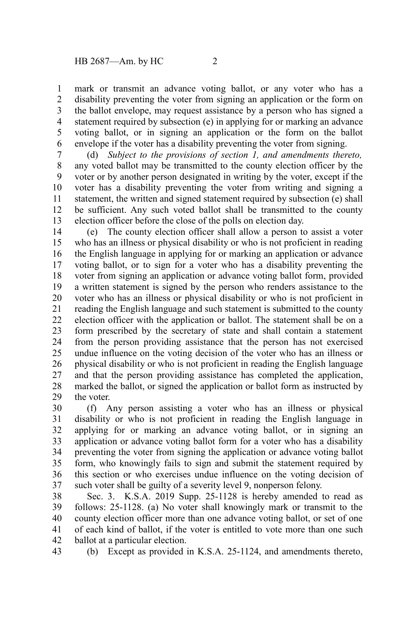mark or transmit an advance voting ballot, or any voter who has a disability preventing the voter from signing an application or the form on the ballot envelope, may request assistance by a person who has signed a statement required by subsection (e) in applying for or marking an advance voting ballot, or in signing an application or the form on the ballot envelope if the voter has a disability preventing the voter from signing. 1 2 3 4 5 6

(d) *Subject to the provisions of section 1, and amendments thereto,* any voted ballot may be transmitted to the county election officer by the voter or by another person designated in writing by the voter, except if the voter has a disability preventing the voter from writing and signing a statement, the written and signed statement required by subsection (e) shall be sufficient. Any such voted ballot shall be transmitted to the county election officer before the close of the polls on election day. 7 8 9 10 11 12 13

(e) The county election officer shall allow a person to assist a voter who has an illness or physical disability or who is not proficient in reading the English language in applying for or marking an application or advance voting ballot, or to sign for a voter who has a disability preventing the voter from signing an application or advance voting ballot form, provided a written statement is signed by the person who renders assistance to the voter who has an illness or physical disability or who is not proficient in reading the English language and such statement is submitted to the county election officer with the application or ballot. The statement shall be on a form prescribed by the secretary of state and shall contain a statement from the person providing assistance that the person has not exercised undue influence on the voting decision of the voter who has an illness or physical disability or who is not proficient in reading the English language and that the person providing assistance has completed the application, marked the ballot, or signed the application or ballot form as instructed by the voter. 14 15 16 17 18 19 20 21 22 23 24 25 26 27 28 29

(f) Any person assisting a voter who has an illness or physical disability or who is not proficient in reading the English language in applying for or marking an advance voting ballot, or in signing an application or advance voting ballot form for a voter who has a disability preventing the voter from signing the application or advance voting ballot form, who knowingly fails to sign and submit the statement required by this section or who exercises undue influence on the voting decision of such voter shall be guilty of a severity level 9, nonperson felony. 30 31 32 33 34 35 36 37

Sec. 3. K.S.A. 2019 Supp. 25-1128 is hereby amended to read as follows: 25-1128. (a) No voter shall knowingly mark or transmit to the county election officer more than one advance voting ballot, or set of one of each kind of ballot, if the voter is entitled to vote more than one such ballot at a particular election. 38 39 40 41 42

(b) Except as provided in K.S.A. 25-1124, and amendments thereto, 43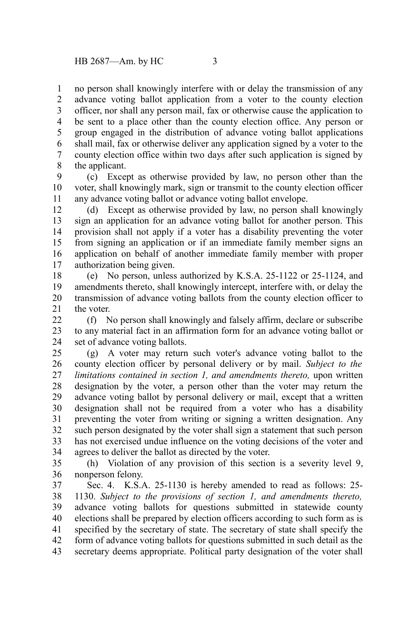no person shall knowingly interfere with or delay the transmission of any advance voting ballot application from a voter to the county election officer, nor shall any person mail, fax or otherwise cause the application to be sent to a place other than the county election office. Any person or group engaged in the distribution of advance voting ballot applications shall mail, fax or otherwise deliver any application signed by a voter to the county election office within two days after such application is signed by the applicant. 1 2 3 4 5 6 7 8

(c) Except as otherwise provided by law, no person other than the voter, shall knowingly mark, sign or transmit to the county election officer any advance voting ballot or advance voting ballot envelope. 9 10 11

(d) Except as otherwise provided by law, no person shall knowingly sign an application for an advance voting ballot for another person. This provision shall not apply if a voter has a disability preventing the voter from signing an application or if an immediate family member signs an application on behalf of another immediate family member with proper authorization being given. 12 13 14 15 16 17

(e) No person, unless authorized by K.S.A. 25-1122 or 25-1124, and amendments thereto, shall knowingly intercept, interfere with, or delay the transmission of advance voting ballots from the county election officer to the voter. 18 19 20 21

(f) No person shall knowingly and falsely affirm, declare or subscribe to any material fact in an affirmation form for an advance voting ballot or set of advance voting ballots. 22 23 24

(g) A voter may return such voter's advance voting ballot to the county election officer by personal delivery or by mail. *Subject to the limitations contained in section 1, and amendments thereto,* upon written designation by the voter, a person other than the voter may return the advance voting ballot by personal delivery or mail, except that a written designation shall not be required from a voter who has a disability preventing the voter from writing or signing a written designation. Any such person designated by the voter shall sign a statement that such person has not exercised undue influence on the voting decisions of the voter and agrees to deliver the ballot as directed by the voter. 25 26 27 28 29 30 31 32 33 34

(h) Violation of any provision of this section is a severity level 9, nonperson felony. 35 36

Sec. 4. K.S.A. 25-1130 is hereby amended to read as follows: 25- 1130. *Subject to the provisions of section 1, and amendments thereto,* advance voting ballots for questions submitted in statewide county elections shall be prepared by election officers according to such form as is specified by the secretary of state. The secretary of state shall specify the form of advance voting ballots for questions submitted in such detail as the secretary deems appropriate. Political party designation of the voter shall 37 38 39 40 41 42 43